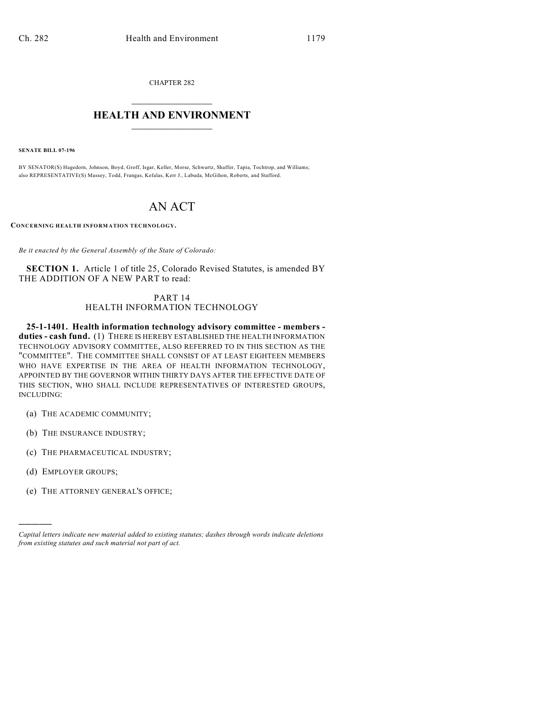CHAPTER 282  $\overline{\phantom{a}}$  . The set of the set of the set of the set of the set of the set of the set of the set of the set of the set of the set of the set of the set of the set of the set of the set of the set of the set of the set o

## **HEALTH AND ENVIRONMENT**  $\_$

**SENATE BILL 07-196**

BY SENATOR(S) Hagedorn, Johnson, Boyd, Groff, Isgar, Keller, Morse, Schwartz, Shaffer, Tapia, Tochtrop, and Williams; also REPRESENTATIVE(S) Massey, Todd, Frangas, Kefalas, Kerr J., Labuda, McGihon, Roberts, and Stafford.

## AN ACT

**CONCERNING HEALTH INFORMATION TECHNOLOGY.**

*Be it enacted by the General Assembly of the State of Colorado:*

**SECTION 1.** Article 1 of title 25, Colorado Revised Statutes, is amended BY THE ADDITION OF A NEW PART to read:

## PART 14 HEALTH INFORMATION TECHNOLOGY

**25-1-1401. Health information technology advisory committee - members duties - cash fund.** (1) THERE IS HEREBY ESTABLISHED THE HEALTH INFORMATION TECHNOLOGY ADVISORY COMMITTEE, ALSO REFERRED TO IN THIS SECTION AS THE "COMMITTEE". THE COMMITTEE SHALL CONSIST OF AT LEAST EIGHTEEN MEMBERS WHO HAVE EXPERTISE IN THE AREA OF HEALTH INFORMATION TECHNOLOGY, APPOINTED BY THE GOVERNOR WITHIN THIRTY DAYS AFTER THE EFFECTIVE DATE OF THIS SECTION, WHO SHALL INCLUDE REPRESENTATIVES OF INTERESTED GROUPS, INCLUDING:

- (a) THE ACADEMIC COMMUNITY;
- (b) THE INSURANCE INDUSTRY;
- (c) THE PHARMACEUTICAL INDUSTRY;
- (d) EMPLOYER GROUPS;

)))))

(e) THE ATTORNEY GENERAL'S OFFICE;

*Capital letters indicate new material added to existing statutes; dashes through words indicate deletions from existing statutes and such material not part of act.*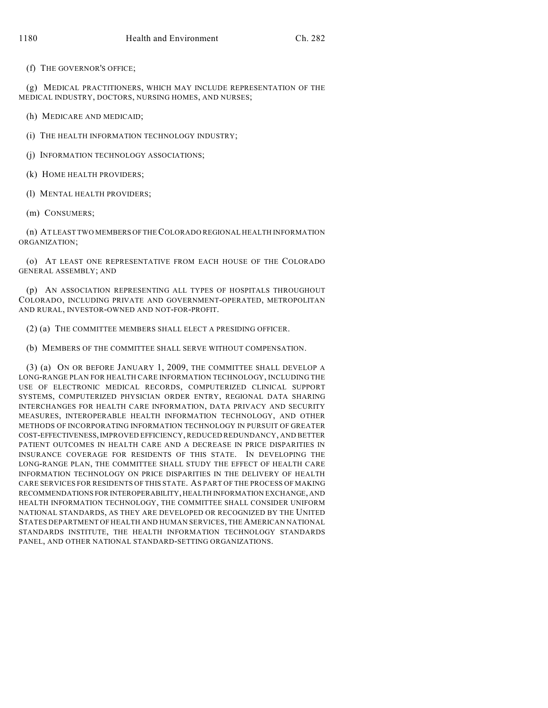(f) THE GOVERNOR'S OFFICE;

(g) MEDICAL PRACTITIONERS, WHICH MAY INCLUDE REPRESENTATION OF THE MEDICAL INDUSTRY, DOCTORS, NURSING HOMES, AND NURSES;

(h) MEDICARE AND MEDICAID;

(i) THE HEALTH INFORMATION TECHNOLOGY INDUSTRY;

(j) INFORMATION TECHNOLOGY ASSOCIATIONS;

(k) HOME HEALTH PROVIDERS;

(l) MENTAL HEALTH PROVIDERS;

(m) CONSUMERS;

(n) AT LEAST TWO MEMBERS OF THE COLORADO REGIONAL HEALTH INFORMATION ORGANIZATION;

(o) AT LEAST ONE REPRESENTATIVE FROM EACH HOUSE OF THE COLORADO GENERAL ASSEMBLY; AND

(p) AN ASSOCIATION REPRESENTING ALL TYPES OF HOSPITALS THROUGHOUT COLORADO, INCLUDING PRIVATE AND GOVERNMENT-OPERATED, METROPOLITAN AND RURAL, INVESTOR-OWNED AND NOT-FOR-PROFIT.

(2) (a) THE COMMITTEE MEMBERS SHALL ELECT A PRESIDING OFFICER.

(b) MEMBERS OF THE COMMITTEE SHALL SERVE WITHOUT COMPENSATION.

(3) (a) ON OR BEFORE JANUARY 1, 2009, THE COMMITTEE SHALL DEVELOP A LONG-RANGE PLAN FOR HEALTH CARE INFORMATION TECHNOLOGY, INCLUDING THE USE OF ELECTRONIC MEDICAL RECORDS, COMPUTERIZED CLINICAL SUPPORT SYSTEMS, COMPUTERIZED PHYSICIAN ORDER ENTRY, REGIONAL DATA SHARING INTERCHANGES FOR HEALTH CARE INFORMATION, DATA PRIVACY AND SECURITY MEASURES, INTEROPERABLE HEALTH INFORMATION TECHNOLOGY, AND OTHER METHODS OF INCORPORATING INFORMATION TECHNOLOGY IN PURSUIT OF GREATER COST-EFFECTIVENESS, IMPROVED EFFICIENCY, REDUCED REDUNDANCY, AND BETTER PATIENT OUTCOMES IN HEALTH CARE AND A DECREASE IN PRICE DISPARITIES IN INSURANCE COVERAGE FOR RESIDENTS OF THIS STATE. IN DEVELOPING THE LONG-RANGE PLAN, THE COMMITTEE SHALL STUDY THE EFFECT OF HEALTH CARE INFORMATION TECHNOLOGY ON PRICE DISPARITIES IN THE DELIVERY OF HEALTH CARE SERVICES FOR RESIDENTS OF THIS STATE. AS PART OF THE PROCESS OF MAKING RECOMMENDATIONS FOR INTEROPERABILITY, HEALTH INFORMATION EXCHANGE, AND HEALTH INFORMATION TECHNOLOGY, THE COMMITTEE SHALL CONSIDER UNIFORM NATIONAL STANDARDS, AS THEY ARE DEVELOPED OR RECOGNIZED BY THE UNITED STATES DEPARTMENT OF HEALTH AND HUMAN SERVICES, THE AMERICAN NATIONAL STANDARDS INSTITUTE, THE HEALTH INFORMATION TECHNOLOGY STANDARDS PANEL, AND OTHER NATIONAL STANDARD-SETTING ORGANIZATIONS.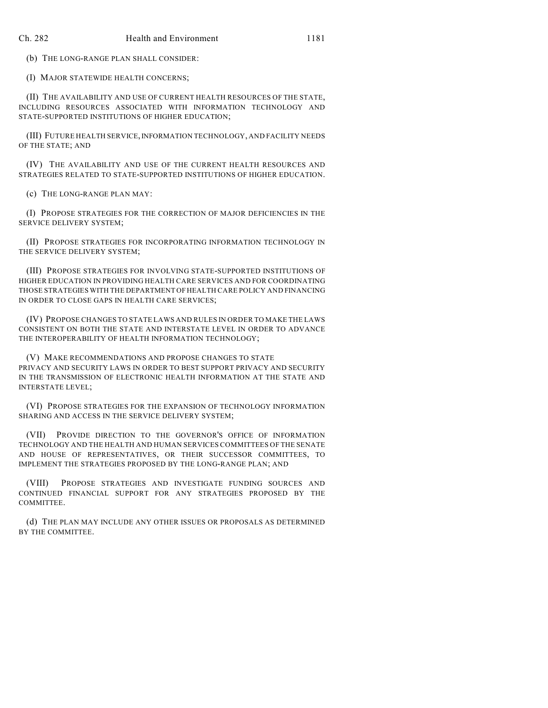(b) THE LONG-RANGE PLAN SHALL CONSIDER:

(I) MAJOR STATEWIDE HEALTH CONCERNS;

(II) THE AVAILABILITY AND USE OF CURRENT HEALTH RESOURCES OF THE STATE, INCLUDING RESOURCES ASSOCIATED WITH INFORMATION TECHNOLOGY AND STATE-SUPPORTED INSTITUTIONS OF HIGHER EDUCATION;

(III) FUTURE HEALTH SERVICE, INFORMATION TECHNOLOGY, AND FACILITY NEEDS OF THE STATE; AND

(IV) THE AVAILABILITY AND USE OF THE CURRENT HEALTH RESOURCES AND STRATEGIES RELATED TO STATE-SUPPORTED INSTITUTIONS OF HIGHER EDUCATION.

(c) THE LONG-RANGE PLAN MAY:

(I) PROPOSE STRATEGIES FOR THE CORRECTION OF MAJOR DEFICIENCIES IN THE SERVICE DELIVERY SYSTEM;

(II) PROPOSE STRATEGIES FOR INCORPORATING INFORMATION TECHNOLOGY IN THE SERVICE DELIVERY SYSTEM;

(III) PROPOSE STRATEGIES FOR INVOLVING STATE-SUPPORTED INSTITUTIONS OF HIGHER EDUCATION IN PROVIDING HEALTH CARE SERVICES AND FOR COORDINATING THOSE STRATEGIES WITH THE DEPARTMENT OF HEALTH CARE POLICY AND FINANCING IN ORDER TO CLOSE GAPS IN HEALTH CARE SERVICES;

(IV) PROPOSE CHANGES TO STATE LAWS AND RULES IN ORDER TO MAKE THE LAWS CONSISTENT ON BOTH THE STATE AND INTERSTATE LEVEL IN ORDER TO ADVANCE THE INTEROPERABILITY OF HEALTH INFORMATION TECHNOLOGY;

(V) MAKE RECOMMENDATIONS AND PROPOSE CHANGES TO STATE PRIVACY AND SECURITY LAWS IN ORDER TO BEST SUPPORT PRIVACY AND SECURITY IN THE TRANSMISSION OF ELECTRONIC HEALTH INFORMATION AT THE STATE AND INTERSTATE LEVEL;

(VI) PROPOSE STRATEGIES FOR THE EXPANSION OF TECHNOLOGY INFORMATION SHARING AND ACCESS IN THE SERVICE DELIVERY SYSTEM;

(VII) PROVIDE DIRECTION TO THE GOVERNOR'S OFFICE OF INFORMATION TECHNOLOGY AND THE HEALTH AND HUMAN SERVICES COMMITTEES OF THE SENATE AND HOUSE OF REPRESENTATIVES, OR THEIR SUCCESSOR COMMITTEES, TO IMPLEMENT THE STRATEGIES PROPOSED BY THE LONG-RANGE PLAN; AND

(VIII) PROPOSE STRATEGIES AND INVESTIGATE FUNDING SOURCES AND CONTINUED FINANCIAL SUPPORT FOR ANY STRATEGIES PROPOSED BY THE COMMITTEE.

(d) THE PLAN MAY INCLUDE ANY OTHER ISSUES OR PROPOSALS AS DETERMINED BY THE COMMITTEE.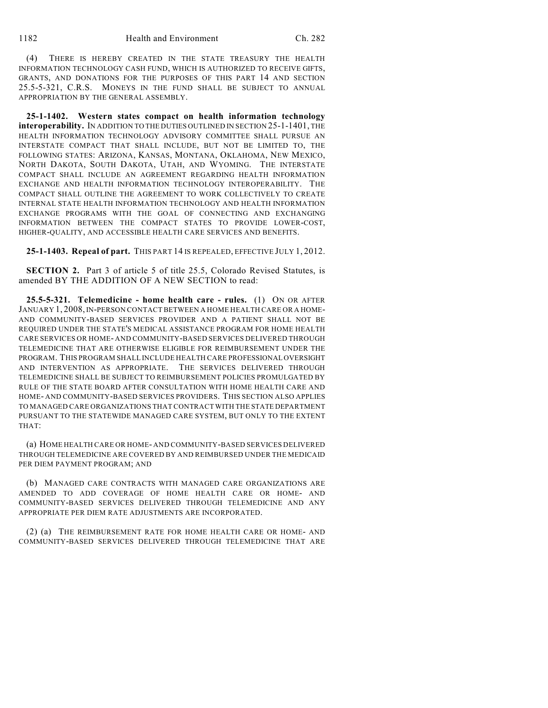(4) THERE IS HEREBY CREATED IN THE STATE TREASURY THE HEALTH INFORMATION TECHNOLOGY CASH FUND, WHICH IS AUTHORIZED TO RECEIVE GIFTS, GRANTS, AND DONATIONS FOR THE PURPOSES OF THIS PART 14 AND SECTION 25.5-5-321, C.R.S. MONEYS IN THE FUND SHALL BE SUBJECT TO ANNUAL APPROPRIATION BY THE GENERAL ASSEMBLY.

**25-1-1402. Western states compact on health information technology interoperability.** IN ADDITION TO THE DUTIES OUTLINED IN SECTION 25-1-1401, THE HEALTH INFORMATION TECHNOLOGY ADVISORY COMMITTEE SHALL PURSUE AN INTERSTATE COMPACT THAT SHALL INCLUDE, BUT NOT BE LIMITED TO, THE FOLLOWING STATES: ARIZONA, KANSAS, MONTANA, OKLAHOMA, NEW MEXICO, NORTH DAKOTA, SOUTH DAKOTA, UTAH, AND WYOMING. THE INTERSTATE COMPACT SHALL INCLUDE AN AGREEMENT REGARDING HEALTH INFORMATION EXCHANGE AND HEALTH INFORMATION TECHNOLOGY INTEROPERABILITY. THE COMPACT SHALL OUTLINE THE AGREEMENT TO WORK COLLECTIVELY TO CREATE INTERNAL STATE HEALTH INFORMATION TECHNOLOGY AND HEALTH INFORMATION EXCHANGE PROGRAMS WITH THE GOAL OF CONNECTING AND EXCHANGING INFORMATION BETWEEN THE COMPACT STATES TO PROVIDE LOWER-COST, HIGHER-QUALITY, AND ACCESSIBLE HEALTH CARE SERVICES AND BENEFITS.

**25-1-1403. Repeal of part.** THIS PART 14 IS REPEALED, EFFECTIVE JULY 1, 2012.

**SECTION 2.** Part 3 of article 5 of title 25.5, Colorado Revised Statutes, is amended BY THE ADDITION OF A NEW SECTION to read:

**25.5-5-321. Telemedicine - home health care - rules.** (1) ON OR AFTER JANUARY 1, 2008, IN-PERSON CONTACT BETWEEN A HOME HEALTH CARE OR A HOME-AND COMMUNITY-BASED SERVICES PROVIDER AND A PATIENT SHALL NOT BE REQUIRED UNDER THE STATE'S MEDICAL ASSISTANCE PROGRAM FOR HOME HEALTH CARE SERVICES OR HOME- AND COMMUNITY-BASED SERVICES DELIVERED THROUGH TELEMEDICINE THAT ARE OTHERWISE ELIGIBLE FOR REIMBURSEMENT UNDER THE PROGRAM. THIS PROGRAM SHALL INCLUDE HEALTH CARE PROFESSIONAL OVERSIGHT AND INTERVENTION AS APPROPRIATE. THE SERVICES DELIVERED THROUGH TELEMEDICINE SHALL BE SUBJECT TO REIMBURSEMENT POLICIES PROMULGATED BY RULE OF THE STATE BOARD AFTER CONSULTATION WITH HOME HEALTH CARE AND HOME- AND COMMUNITY-BASED SERVICES PROVIDERS. THIS SECTION ALSO APPLIES TO MANAGED CARE ORGANIZATIONS THAT CONTRACT WITH THE STATE DEPARTMENT PURSUANT TO THE STATEWIDE MANAGED CARE SYSTEM, BUT ONLY TO THE EXTENT THAT:

(a) HOME HEALTH CARE OR HOME- AND COMMUNITY-BASED SERVICES DELIVERED THROUGH TELEMEDICINE ARE COVERED BY AND REIMBURSED UNDER THE MEDICAID PER DIEM PAYMENT PROGRAM; AND

(b) MANAGED CARE CONTRACTS WITH MANAGED CARE ORGANIZATIONS ARE AMENDED TO ADD COVERAGE OF HOME HEALTH CARE OR HOME- AND COMMUNITY-BASED SERVICES DELIVERED THROUGH TELEMEDICINE AND ANY APPROPRIATE PER DIEM RATE ADJUSTMENTS ARE INCORPORATED.

(2) (a) THE REIMBURSEMENT RATE FOR HOME HEALTH CARE OR HOME- AND COMMUNITY-BASED SERVICES DELIVERED THROUGH TELEMEDICINE THAT ARE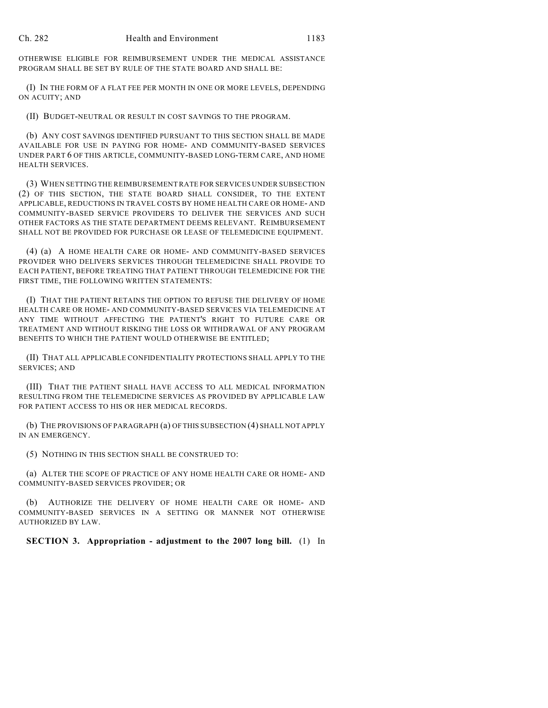OTHERWISE ELIGIBLE FOR REIMBURSEMENT UNDER THE MEDICAL ASSISTANCE PROGRAM SHALL BE SET BY RULE OF THE STATE BOARD AND SHALL BE:

(I) IN THE FORM OF A FLAT FEE PER MONTH IN ONE OR MORE LEVELS, DEPENDING ON ACUITY; AND

(II) BUDGET-NEUTRAL OR RESULT IN COST SAVINGS TO THE PROGRAM.

(b) ANY COST SAVINGS IDENTIFIED PURSUANT TO THIS SECTION SHALL BE MADE AVAILABLE FOR USE IN PAYING FOR HOME- AND COMMUNITY-BASED SERVICES UNDER PART 6 OF THIS ARTICLE, COMMUNITY-BASED LONG-TERM CARE, AND HOME HEALTH SERVICES.

(3) WHEN SETTING THE REIMBURSEMENT RATE FOR SERVICES UNDER SUBSECTION (2) OF THIS SECTION, THE STATE BOARD SHALL CONSIDER, TO THE EXTENT APPLICABLE, REDUCTIONS IN TRAVEL COSTS BY HOME HEALTH CARE OR HOME- AND COMMUNITY-BASED SERVICE PROVIDERS TO DELIVER THE SERVICES AND SUCH OTHER FACTORS AS THE STATE DEPARTMENT DEEMS RELEVANT. REIMBURSEMENT SHALL NOT BE PROVIDED FOR PURCHASE OR LEASE OF TELEMEDICINE EQUIPMENT.

(4) (a) A HOME HEALTH CARE OR HOME- AND COMMUNITY-BASED SERVICES PROVIDER WHO DELIVERS SERVICES THROUGH TELEMEDICINE SHALL PROVIDE TO EACH PATIENT, BEFORE TREATING THAT PATIENT THROUGH TELEMEDICINE FOR THE FIRST TIME, THE FOLLOWING WRITTEN STATEMENTS:

(I) THAT THE PATIENT RETAINS THE OPTION TO REFUSE THE DELIVERY OF HOME HEALTH CARE OR HOME- AND COMMUNITY-BASED SERVICES VIA TELEMEDICINE AT ANY TIME WITHOUT AFFECTING THE PATIENT'S RIGHT TO FUTURE CARE OR TREATMENT AND WITHOUT RISKING THE LOSS OR WITHDRAWAL OF ANY PROGRAM BENEFITS TO WHICH THE PATIENT WOULD OTHERWISE BE ENTITLED;

(II) THAT ALL APPLICABLE CONFIDENTIALITY PROTECTIONS SHALL APPLY TO THE SERVICES; AND

(III) THAT THE PATIENT SHALL HAVE ACCESS TO ALL MEDICAL INFORMATION RESULTING FROM THE TELEMEDICINE SERVICES AS PROVIDED BY APPLICABLE LAW FOR PATIENT ACCESS TO HIS OR HER MEDICAL RECORDS.

(b) THE PROVISIONS OF PARAGRAPH (a) OF THIS SUBSECTION (4) SHALL NOT APPLY IN AN EMERGENCY.

(5) NOTHING IN THIS SECTION SHALL BE CONSTRUED TO:

(a) ALTER THE SCOPE OF PRACTICE OF ANY HOME HEALTH CARE OR HOME- AND COMMUNITY-BASED SERVICES PROVIDER; OR

(b) AUTHORIZE THE DELIVERY OF HOME HEALTH CARE OR HOME- AND COMMUNITY-BASED SERVICES IN A SETTING OR MANNER NOT OTHERWISE AUTHORIZED BY LAW.

**SECTION 3. Appropriation - adjustment to the 2007 long bill.** (1) In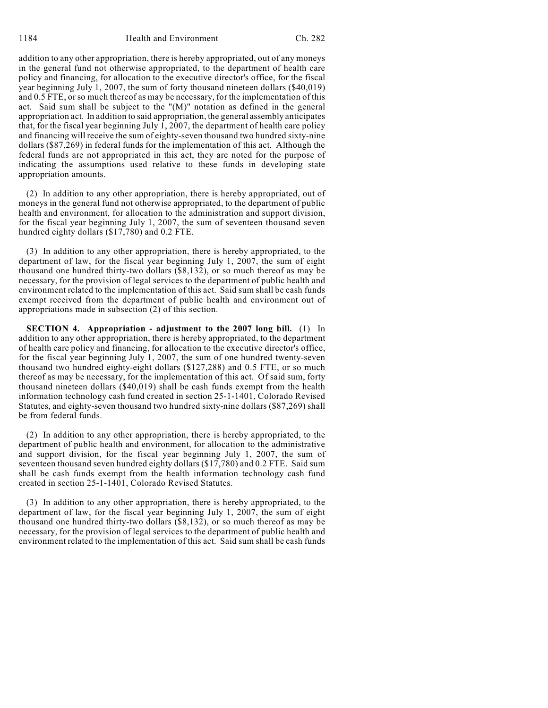addition to any other appropriation, there is hereby appropriated, out of any moneys in the general fund not otherwise appropriated, to the department of health care policy and financing, for allocation to the executive director's office, for the fiscal year beginning July 1, 2007, the sum of forty thousand nineteen dollars (\$40,019) and 0.5 FTE, or so much thereof as may be necessary, for the implementation of this act. Said sum shall be subject to the "(M)" notation as defined in the general appropriation act. In addition to said appropriation, the general assembly anticipates that, for the fiscal year beginning July 1, 2007, the department of health care policy and financing will receive the sum of eighty-seven thousand two hundred sixty-nine dollars (\$87,269) in federal funds for the implementation of this act. Although the federal funds are not appropriated in this act, they are noted for the purpose of indicating the assumptions used relative to these funds in developing state appropriation amounts.

(2) In addition to any other appropriation, there is hereby appropriated, out of moneys in the general fund not otherwise appropriated, to the department of public health and environment, for allocation to the administration and support division, for the fiscal year beginning July 1, 2007, the sum of seventeen thousand seven hundred eighty dollars (\$17,780) and 0.2 FTE.

(3) In addition to any other appropriation, there is hereby appropriated, to the department of law, for the fiscal year beginning July 1, 2007, the sum of eight thousand one hundred thirty-two dollars (\$8,132), or so much thereof as may be necessary, for the provision of legal services to the department of public health and environment related to the implementation of this act. Said sum shall be cash funds exempt received from the department of public health and environment out of appropriations made in subsection (2) of this section.

**SECTION 4. Appropriation - adjustment to the 2007 long bill.** (1) In addition to any other appropriation, there is hereby appropriated, to the department of health care policy and financing, for allocation to the executive director's office, for the fiscal year beginning July 1, 2007, the sum of one hundred twenty-seven thousand two hundred eighty-eight dollars (\$127,288) and 0.5 FTE, or so much thereof as may be necessary, for the implementation of this act. Of said sum, forty thousand nineteen dollars (\$40,019) shall be cash funds exempt from the health information technology cash fund created in section 25-1-1401, Colorado Revised Statutes, and eighty-seven thousand two hundred sixty-nine dollars (\$87,269) shall be from federal funds.

(2) In addition to any other appropriation, there is hereby appropriated, to the department of public health and environment, for allocation to the administrative and support division, for the fiscal year beginning July 1, 2007, the sum of seventeen thousand seven hundred eighty dollars (\$17,780) and 0.2 FTE. Said sum shall be cash funds exempt from the health information technology cash fund created in section 25-1-1401, Colorado Revised Statutes.

(3) In addition to any other appropriation, there is hereby appropriated, to the department of law, for the fiscal year beginning July 1, 2007, the sum of eight thousand one hundred thirty-two dollars (\$8,132), or so much thereof as may be necessary, for the provision of legal services to the department of public health and environment related to the implementation of this act. Said sum shall be cash funds